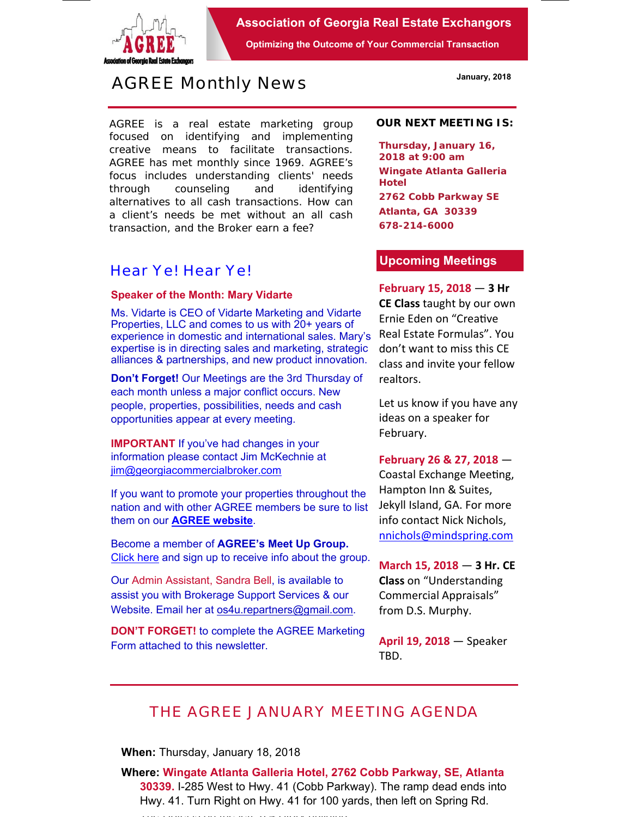

**Association of Georgia Real Estate Exchangors** 

**Optimizing the Outcome of Your Commercial Transaction** 

# *AGREE Monthly News*

AGREE is a real estate marketing group focused on identifying and implementing creative means to facilitate transactions. *AGREE has met monthly since 1969.* AGREE's focus includes understanding clients' needs through counseling and identifying alternatives to all cash transactions. How can a client's needs be met without an all cash transaction, and the Broker earn a fee?

### *Hear Ye! Hear Ye!*

#### **Speaker of the Month: Mary Vidarte**

Ms. Vidarte is CEO of Vidarte Marketing and Vidarte Properties, LLC and comes to us with 20+ years of experience in domestic and international sales. Mary's expertise is in directing sales and marketing, strategic alliances & partnerships, and new product innovation.

**Don't Forget!** Our Meetings are the 3rd Thursday of each month unless a major conflict occurs. New people, properties, possibilities, needs and cash opportunities appear at every meeting.

**IMPORTANT** If you've had changes in your information please contact Jim McKechnie at jim@georgiacommercialbroker.com

If you want to promote your properties throughout the nation and with other AGREE members be sure to list them on our **AGREE website**.

Become a member of **AGREE's Meet Up Group.**  Click here and sign up to receive info about the group.

Our Admin Assistant, Sandra Bell, is available to assist you with Brokerage Support Services & our Website. Email her at os4u.repartners@gmail.com.

**DON'T FORGET!** to complete the AGREE Marketing Form attached to this newsletter.

#### **OUR NEXT MEETING IS:**

**Thursday, January 16, 2018 at 9:00 am Wingate Atlanta Galleria Hotel 2762 Cobb Parkway SE Atlanta, GA 30339 678-214-6000** 

### **Upcoming Meetings**

### **February 15, 2018** — **3 Hr**

**CE Class** taught by our own Ernie Eden on "CreaƟve Real Estate Formulas". You don't want to miss this CE class and invite your fellow realtors.

Let us know if you have any ideas on a speaker for February.

#### **February 26 & 27, 2018** —

Coastal Exchange Meeting, Hampton Inn & Suites, Jekyll Island, GA. For more info contact Nick Nichols, nnichols@mindspring.com

**March 15, 2018** — **3 Hr. CE Class** on "Understanding Commercial Appraisals" from D.S. Murphy.

**April 19, 2018** — Speaker TBD.

## *THE AGREE JANUARY MEETING AGENDA*

**When:** Thursday, January 18, 2018

**Where: Wingate Atlanta Galleria Hotel, 2762 Cobb Parkway, SE, Atlanta 30339.** I-285 West to Hwy. 41 (Cobb Parkway). The ramp dead ends into Hwy. 41. Turn Right on Hwy. 41 for 100 yards, then left on Spring Rd.

The Hotel is on the left and the left and the left a 4 Story building a 4 Story building a 4 Story building and the left and the left and the left and the left and the left and the left and the left and the left and the le

**January, 2018**